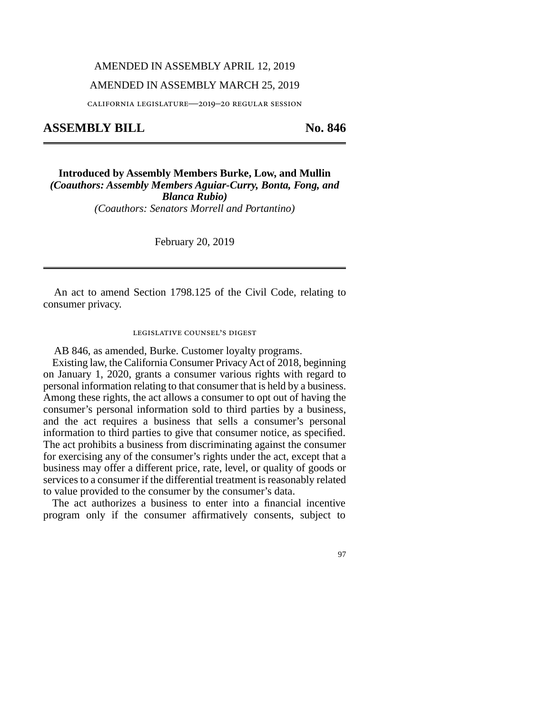## AMENDED IN ASSEMBLY APRIL 12, 2019

## AMENDED IN ASSEMBLY MARCH 25, 2019

california legislature—2019–20 regular session

## **ASSEMBLY BILL No. 846**

**Introduced by Assembly Members Burke, Low, and Mullin**  *(Coauthors: Assembly Members Aguiar-Curry, Bonta, Fong, and Blanca Rubio) (Coauthors: Senators Morrell and Portantino)*

February 20, 2019

An act to amend Section 1798.125 of the Civil Code, relating to consumer privacy.

## legislative counsel's digest

AB 846, as amended, Burke. Customer loyalty programs.

Existing law, the California Consumer Privacy Act of 2018, beginning on January 1, 2020, grants a consumer various rights with regard to personal information relating to that consumer that is held by a business. Among these rights, the act allows a consumer to opt out of having the consumer's personal information sold to third parties by a business, and the act requires a business that sells a consumer's personal information to third parties to give that consumer notice, as specified. The act prohibits a business from discriminating against the consumer for exercising any of the consumer's rights under the act, except that a business may offer a different price, rate, level, or quality of goods or services to a consumer if the differential treatment is reasonably related to value provided to the consumer by the consumer's data.

The act authorizes a business to enter into a financial incentive program only if the consumer affirmatively consents, subject to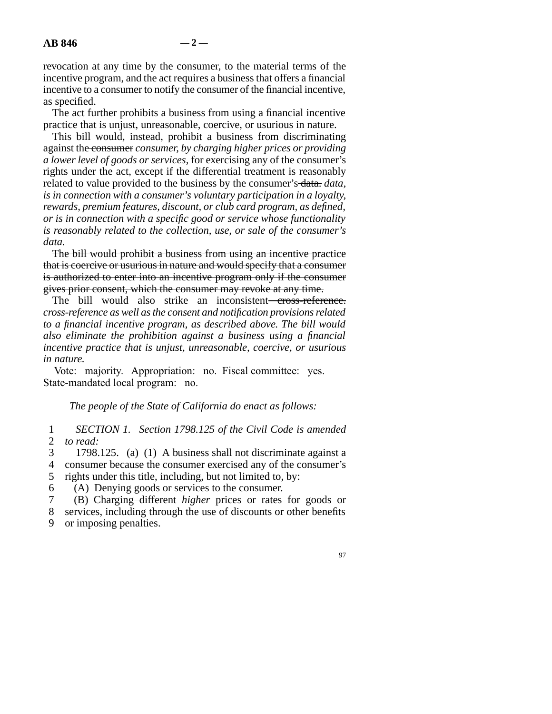revocation at any time by the consumer, to the material terms of the incentive program, and the act requires a business that offers a financial incentive to a consumer to notify the consumer of the financial incentive, as specified.

The act further prohibits a business from using a financial incentive practice that is unjust, unreasonable, coercive, or usurious in nature.

This bill would, instead, prohibit a business from discriminating against the consumer *consumer, by charging higher prices or providing a lower level of goods or services,* for exercising any of the consumer's rights under the act, except if the differential treatment is reasonably related to value provided to the business by the consumer's data. *data, is in connection with a consumer's voluntary participation in a loyalty, rewards, premium features, discount, or club card program, as defined, or is in connection with a specific good or service whose functionality is reasonably related to the collection, use, or sale of the consumer's data.*

The bill would prohibit a business from using an incentive practice that is coercive or usurious in nature and would specify that a consumer is authorized to enter into an incentive program only if the consumer gives prior consent, which the consumer may revoke at any time.

The bill would also strike an inconsistent<del> cross-reference.</del> *cross-reference as well as the consent and notification provisions related to a financial incentive program, as described above. The bill would also eliminate the prohibition against a business using a financial incentive practice that is unjust, unreasonable, coercive, or usurious in nature.*

Vote: majority. Appropriation: no. Fiscal committee: yes. State-mandated local program: no.

*The people of the State of California do enact as follows:* 

 line 1 *SECTION 1. Section 1798.125 of the Civil Code is amended*  2 *to read:* 

 line 3 1798.125. (a) (1) A business shall not discriminate against a 4 consumer because the consumer exercised any of the consumer's

5 rights under this title, including, but not limited to, by:

line 6 (A) Denying goods or services to the consumer.

line 7 (B) Charging different *higher* prices or rates for goods or

8 services, including through the use of discounts or other benefits

9 or imposing penalties.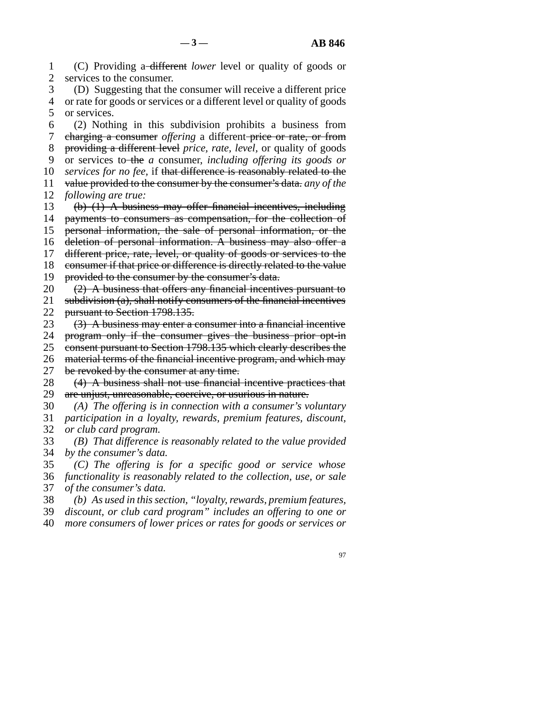line 1 (C) Providing a different *lower* level or quality of goods or 2 services to the consumer.

 line 3 (D) Suggesting that the consumer will receive a different price 4 or rate for goods or services or a different level or quality of goods 5 or services.

 line 6 (2) Nothing in this subdivision prohibits a business from 7 charging a consumer *offering* a different price or rate, or from 8 providing a different level price, rate, level, or quality of goods line 9 or services to the *a* consumer, *including offering its goods or*  10 *services for no fee,* if that difference is reasonably related to the line 11 value provided to the consumer by the consumer's data. *any of the*  12 *following are true:* 

13 (b)  $(1)$  A business may offer financial incentives, including 14 payments to consumers as compensation, for the collection of 15 personal information, the sale of personal information, or the 16 deletion of personal information. A business may also offer a

17 different price, rate, level, or quality of goods or services to the

18 consumer if that price or difference is directly related to the value

19 provided to the consumer by the consumer's data.

20  $(2)$  A business that offers any financial incentives pursuant to

21 subdivision  $(a)$ , shall notify consumers of the financial incentives 22 pursuant to Section 1798.135.<br>23 (3) A business may enter a

 $\left(3\right)$  A business may enter a consumer into a financial incentive

24 program only if the consumer gives the business prior opt-in<br>25 consent pursuant to Section 1798.135 which clearly describes the

eonsent pursuant to Section 1798.135 which clearly describes the

26 material terms of the financial incentive program, and which may

27 be revoked by the consumer at any time.

28 (4) A business shall not use financial incentive practices that 29 are unjust, unreasonable, coercive, or usurious in nature.

line 30 *(A) The offering is in connection with a consumer's voluntary* 

31 *participation in a loyalty, rewards, premium features, discount,* 32 *or club card program.* 

 line 33 *(B) That difference is reasonably related to the value provided*  34 *by the consumer's data.* 

 line 35 *(C) The offering is for a specific good or service whose*  line 36 *functionality is reasonably related to the collection, use, or sale*  37 *of the consumer's data.* 

line 38 *(b) As used in this section, "loyalty, rewards, premium features,* 

line 39 *discount, or club card program" includes an offering to one or* 

line 40 *more consumers of lower prices or rates for goods or services or*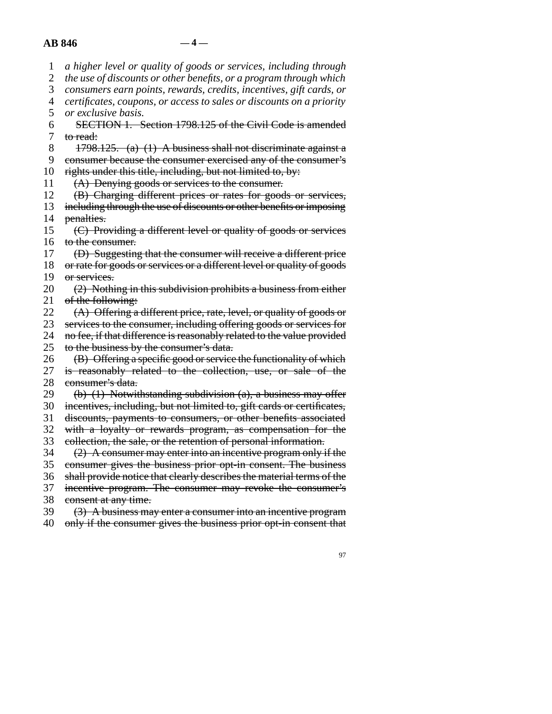- line 1 *a higher level or quality of goods or services, including through*
- 2 *the use of discounts or other benefits, or a program through which*
- 3 *consumers earn points, rewards, credits, incentives, gift cards, or*
- line 4 *certificates, coupons, or access to sales or discounts on a priority*
- 5 *or exclusive basis.*
- 6 SECTION 1. Section 1798.125 of the Civil Code is amended 7 to read:
- line 8 1798.125. (a) (1) A business shall not discriminate against a
- 9 consumer because the consumer exercised any of the consumer's
- 10 rights under this title, including, but not limited to, by:
- 11 (A) Denying goods or services to the consumer.
- 12 (B) Charging different prices or rates for goods or services, 13 including through the use of discounts or other benefits or imposing
- 14 penalties.
- 15  $(C)$  Providing a different level or quality of goods or services 16 to the consumer.
- 17 (D) Suggesting that the consumer will receive a different price
- 18 or rate for goods or services or a different level or quality of goods 19 or services.
- 20  $(2)$  Nothing in this subdivision prohibits a business from either 21 of the following:
- 22  $(A)$  Offering a different price, rate, level, or quality of goods or 23 services to the consumer, including offering goods or services for
- 24 no fee, if that difference is reasonably related to the value provided  $25$  to the business by the consumer's data.
- to the business by the consumer's data.
- 26  $(B)$  Offering a specific good or service the functionality of which 27 is reasonably related to the collection, use, or sale of the 28 consumer's data.
- 29 (b)  $(1)$  Notwithstanding subdivision  $(a)$ , a business may offer
- 30 incentives, including, but not limited to, gift cards or certificates,
- 31 discounts, payments to consumers, or other benefits associated
- 32 with a loyalty or rewards program, as compensation for the 33 eollection, the sale, or the retention of personal information.
- 
- $\frac{1}{2}$   $\rightarrow$  A consumer may enter into an incentive program only if the
- 35 consumer gives the business prior opt-in consent. The business 36 shall provide notice that clearly describes the material terms of the
- 37 incentive program. The consumer may revoke the consumer's
- 38 consent at any time.
- $\frac{39}{39}$  (3) A business may enter a consumer into an incentive program
- 40 only if the consumer gives the business prior opt-in consent that
	- 97